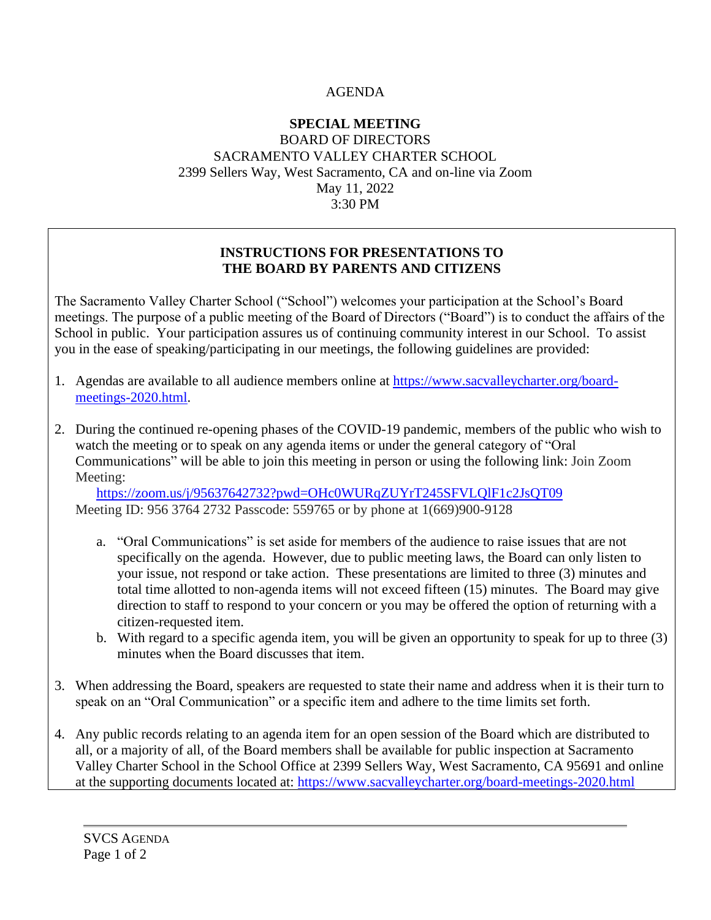# AGENDA

## **SPECIAL MEETING** BOARD OF DIRECTORS SACRAMENTO VALLEY CHARTER SCHOOL 2399 Sellers Way, West Sacramento, CA and on-line via Zoom May 11, 2022 3:30 PM

## **INSTRUCTIONS FOR PRESENTATIONS TO THE BOARD BY PARENTS AND CITIZENS**

The Sacramento Valley Charter School ("School") welcomes your participation at the School's Board meetings. The purpose of a public meeting of the Board of Directors ("Board") is to conduct the affairs of the School in public. Your participation assures us of continuing community interest in our School. To assist you in the ease of speaking/participating in our meetings, the following guidelines are provided:

- 1. Agendas are available to all audience members online at [https://www.sacvalleycharter.org/board](about:blank)[meetings-2020.html.](about:blank)
- 2. During the continued re-opening phases of the COVID-19 pandemic, members of the public who wish to watch the meeting or to speak on any agenda items or under the general category of "Oral Communications" will be able to join this meeting in person or using the following link: Join Zoom Meeting:

<https://zoom.us/j/95637642732?pwd=OHc0WURqZUYrT245SFVLQlF1c2JsQT09> Meeting ID: 956 3764 2732 Passcode: 559765 or by phone at 1(669)900-9128

- a. "Oral Communications" is set aside for members of the audience to raise issues that are not specifically on the agenda. However, due to public meeting laws, the Board can only listen to your issue, not respond or take action. These presentations are limited to three (3) minutes and total time allotted to non-agenda items will not exceed fifteen (15) minutes. The Board may give direction to staff to respond to your concern or you may be offered the option of returning with a citizen-requested item.
- b. With regard to a specific agenda item, you will be given an opportunity to speak for up to three (3) minutes when the Board discusses that item.
- 3. When addressing the Board, speakers are requested to state their name and address when it is their turn to speak on an "Oral Communication" or a specific item and adhere to the time limits set forth.
- 4. Any public records relating to an agenda item for an open session of the Board which are distributed to all, or a majority of all, of the Board members shall be available for public inspection at Sacramento Valley Charter School in the School Office at 2399 Sellers Way, West Sacramento, CA 95691 and online at the supporting documents located at: [https://www.sacvalleycharter.org/board-meetings-2020.html](about:blank)